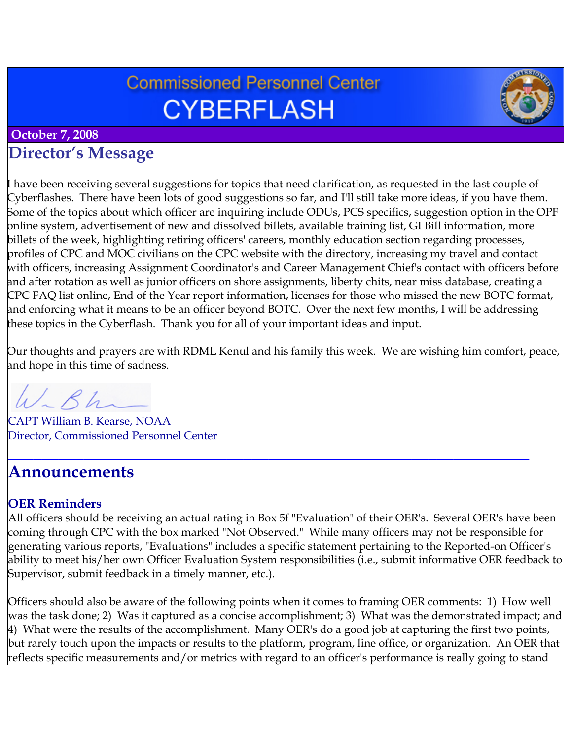# **Commissioned Personnel Center CYBERFLASH**



### **October 7, 2008**

# **Director's Message**

I have been receiving several suggestions for topics that need clarification, as requested in the last couple of Cyberflashes. There have been lots of good suggestions so far, and I'll still take more ideas, if you have them. Some of the topics about which officer are inquiring include ODUs, PCS specifics, suggestion option in the OPF online system, advertisement of new and dissolved billets, available training list, GI Bill information, more billets of the week, highlighting retiring officers' careers, monthly education section regarding processes, profiles of CPC and MOC civilians on the CPC website with the directory, increasing my travel and contact with officers, increasing Assignment Coordinator's and Career Management Chief's contact with officers before and after rotation as well as junior officers on shore assignments, liberty chits, near miss database, creating a CPC FAQ list online, End of the Year report information, licenses for those who missed the new BOTC format, and enforcing what it means to be an officer beyond BOTC. Over the next few months, I will be addressing these topics in the Cyberflash. Thank you for all of your important ideas and input.

Our thoughts and prayers are with RDML Kenul and his family this week. We are wishing him comfort, peace, and hope in this time of sadness.

**\_\_\_\_\_\_\_\_\_\_\_\_\_\_\_\_\_\_\_\_\_\_\_\_\_\_\_\_\_\_\_\_\_\_\_\_\_\_\_\_\_\_\_\_\_\_\_\_\_\_\_\_\_\_\_\_\_\_\_\_\_\_**

 $Rh$ 

CAPT William B. Kearse, NOAA Director, Commissioned Personnel Center

### **Announcements**

### **OER Reminders**

All officers should be receiving an actual rating in Box 5f "Evaluation" of their OER's. Several OER's have been coming through CPC with the box marked "Not Observed." While many officers may not be responsible for generating various reports, "Evaluations" includes a specific statement pertaining to the Reported-on Officer's ability to meet his/her own Officer Evaluation System responsibilities (i.e., submit informative OER feedback to Supervisor, submit feedback in a timely manner, etc.).

Officers should also be aware of the following points when it comes to framing OER comments: 1) How well was the task done; 2) Was it captured as a concise accomplishment; 3) What was the demonstrated impact; and 4) What were the results of the accomplishment. Many OER's do a good job at capturing the first two points, but rarely touch upon the impacts or results to the platform, program, line office, or organization. An OER that reflects specific measurements and/or metrics with regard to an officer's performance is really going to stand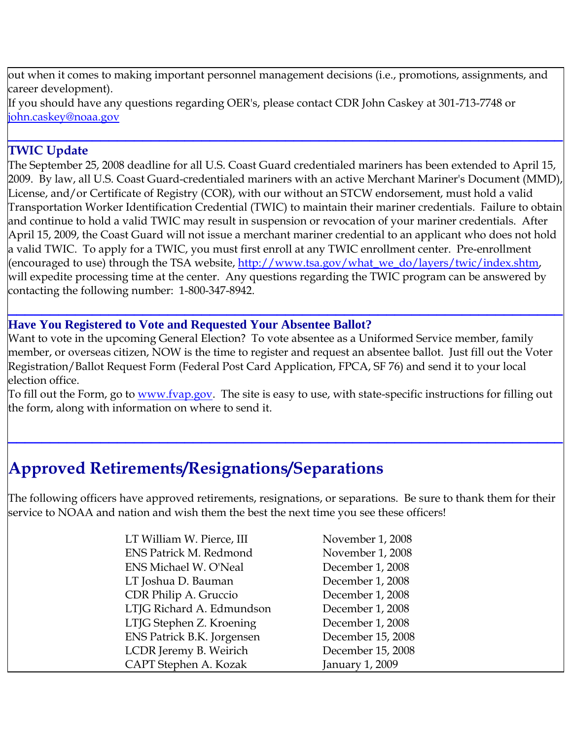out when it comes to making important personnel management decisions (i.e., promotions, assignments, and career development). If you should have any questions regarding OER's, please contact CDR John Caskey at 301-713-7748 or [john.caskey@noaa.gov](mailto:john.caskey@noaa.gov)

**\_\_\_\_\_\_\_\_\_\_\_\_\_\_\_\_\_\_\_\_\_\_\_\_\_\_\_\_\_\_\_\_\_\_\_\_\_\_\_\_\_\_\_\_\_\_\_\_\_\_\_\_\_\_\_\_\_\_\_\_\_\_\_\_\_\_**

### **TWIC Update**

The September 25, 2008 deadline for all U.S. Coast Guard credentialed mariners has been extended to April 15, 2009. By law, all U.S. Coast Guard-credentialed mariners with an active Merchant Mariner's Document (MMD), License, and/or Certificate of Registry (COR), with our without an STCW endorsement, must hold a valid Transportation Worker Identification Credential (TWIC) to maintain their mariner credentials. Failure to obtain and continue to hold a valid TWIC may result in suspension or revocation of your mariner credentials. After April 15, 2009, the Coast Guard will not issue a merchant mariner credential to an applicant who does not hold a valid TWIC. To apply for a TWIC, you must first enroll at any TWIC enrollment center. Pre-enrollment (encouraged to use) through the TSA website, [http://www.tsa.gov/what\\_we\\_do/layers/twic/index.shtm,](http://www.tsa.gov/what_we_do/layers/twic/index.shtm) will expedite processing time at the center. Any questions regarding the TWIC program can be answered by contacting the following number: 1-800-347-8942.

#### **Have You Registered to Vote and Requested Your Absentee Ballot?**

Want to vote in the upcoming General Election? To vote absentee as a Uniformed Service member, family member, or overseas citizen, NOW is the time to register and request an absentee ballot. Just fill out the Voter Registration/Ballot Request Form (Federal Post Card Application, FPCA, SF 76) and send it to your local election office.

**\_\_\_\_\_\_\_\_\_\_\_\_\_\_\_\_\_\_\_\_\_\_\_\_\_\_\_\_\_\_\_\_\_\_\_\_\_\_\_\_\_\_\_\_\_\_\_\_\_\_\_\_\_\_\_\_\_\_\_\_\_\_\_\_\_\_**

To fill out the Form, go to <u>www.fvap.gov</u>. The site is easy to use, with state-specific instructions for filling out the form, along with information on where to send it.

**\_\_\_\_\_\_\_\_\_\_\_\_\_\_\_\_\_\_\_\_\_\_\_\_\_\_\_\_\_\_\_\_\_\_\_\_\_\_\_\_\_\_\_\_\_\_\_\_\_\_\_\_\_\_\_\_\_\_\_\_\_\_\_\_\_\_**

# **Approved Retirements/Resignations/Separations**

The following officers have approved retirements, resignations, or separations. Be sure to thank them for their service to NOAA and nation and wish them the best the next time you see these officers!

| LT William W. Pierce, III     | November 1, 2008  |
|-------------------------------|-------------------|
| <b>ENS Patrick M. Redmond</b> | November 1, 2008  |
| <b>ENS Michael W. O'Neal</b>  | December 1, 2008  |
| LT Joshua D. Bauman           | December 1, 2008  |
| CDR Philip A. Gruccio         | December 1, 2008  |
| LTJG Richard A. Edmundson     | December 1, 2008  |
| LTJG Stephen Z. Kroening      | December 1, 2008  |
| ENS Patrick B.K. Jorgensen    | December 15, 2008 |
| LCDR Jeremy B. Weirich        | December 15, 2008 |
| CAPT Stephen A. Kozak         | January 1, 2009   |